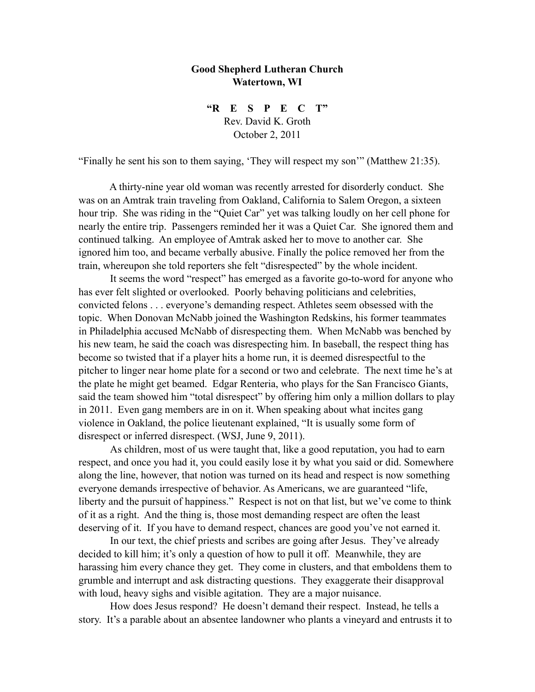## **Good Shepherd Lutheran Church Watertown, WI**

**"R E S P E C T"** Rev. David K. Groth October 2, 2011

"Finally he sent his son to them saying, 'They will respect my son'" (Matthew 21:35).

 A thirty-nine year old woman was recently arrested for disorderly conduct. She was on an Amtrak train traveling from Oakland, California to Salem Oregon, a sixteen hour trip. She was riding in the "Quiet Car" yet was talking loudly on her cell phone for nearly the entire trip. Passengers reminded her it was a Quiet Car. She ignored them and continued talking. An employee of Amtrak asked her to move to another car. She ignored him too, and became verbally abusive. Finally the police removed her from the train, whereupon she told reporters she felt "disrespected" by the whole incident.

It seems the word "respect" has emerged as a favorite go-to-word for anyone who has ever felt slighted or overlooked. Poorly behaving politicians and celebrities, convicted felons . . . everyone's demanding respect. Athletes seem obsessed with the topic. When Donovan McNabb joined the Washington Redskins, his former teammates in Philadelphia accused McNabb of disrespecting them. When McNabb was benched by his new team, he said the coach was disrespecting him. In baseball, the respect thing has become so twisted that if a player hits a home run, it is deemed disrespectful to the pitcher to linger near home plate for a second or two and celebrate. The next time he's at the plate he might get beamed. Edgar Renteria, who plays for the San Francisco Giants, said the team showed him "total disrespect" by offering him only a million dollars to play in 2011. Even gang members are in on it. When speaking about what incites gang violence in Oakland, the police lieutenant explained, "It is usually some form of disrespect or inferred disrespect. (WSJ, June 9, 2011).

As children, most of us were taught that, like a good reputation, you had to earn respect, and once you had it, you could easily lose it by what you said or did. Somewhere along the line, however, that notion was turned on its head and respect is now something everyone demands irrespective of behavior. As Americans, we are guaranteed "life, liberty and the pursuit of happiness." Respect is not on that list, but we've come to think of it as a right. And the thing is, those most demanding respect are often the least deserving of it. If you have to demand respect, chances are good you've not earned it.

In our text, the chief priests and scribes are going after Jesus. They've already decided to kill him; it's only a question of how to pull it off. Meanwhile, they are harassing him every chance they get. They come in clusters, and that emboldens them to grumble and interrupt and ask distracting questions. They exaggerate their disapproval with loud, heavy sighs and visible agitation. They are a major nuisance.

 How does Jesus respond? He doesn't demand their respect. Instead, he tells a story. It's a parable about an absentee landowner who plants a vineyard and entrusts it to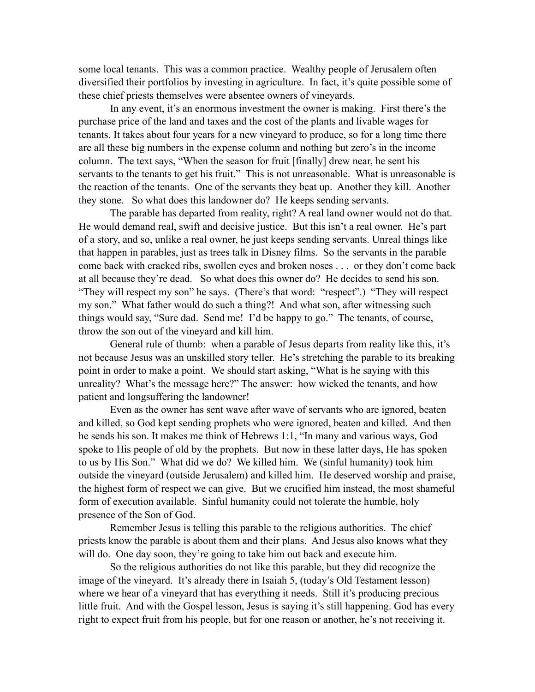some local tenants. This was a common practice. Wealthy people of Jerusalem often diversified their portfolios by investing in agriculture. In fact, it's quite possible some of these chief priests themselves were absentee owners of vineyards.

 In any event, it's an enormous investment the owner is making. First there's the purchase price of the land and taxes and the cost of the plants and livable wages for tenants. It takes about four years for a new vineyard to produce, so for a long time there are all these big numbers in the expense column and nothing but zero's in the income column. The text says, "When the season for fruit [finally] drew near, he sent his servants to the tenants to get his fruit." This is not unreasonable. What is unreasonable is the reaction of the tenants. One of the servants they beat up. Another they kill. Another they stone. So what does this landowner do? He keeps sending servants.

The parable has departed from reality, right? A real land owner would not do that. He would demand real, swift and decisive justice. But this isn't a real owner. He's part of a story, and so, unlike a real owner, he just keeps sending servants. Unreal things like that happen in parables, just as trees talk in Disney films. So the servants in the parable come back with cracked ribs, swollen eyes and broken noses . . . or they don't come back at all because they're dead. So what does this owner do? He decides to send his son. "They will respect my son" he says. (There's that word: "respect".) "They will respect my son." What father would do such a thing?! And what son, after witnessing such things would say, "Sure dad. Send me! I'd be happy to go." The tenants, of course, throw the son out of the vineyard and kill him.

General rule of thumb: when a parable of Jesus departs from reality like this, it's not because Jesus was an unskilled story teller. He's stretching the parable to its breaking point in order to make a point. We should start asking, "What is he saying with this unreality? What's the message here?" The answer: how wicked the tenants, and how patient and longsuffering the landowner!

Even as the owner has sent wave after wave of servants who are ignored, beaten and killed, so God kept sending prophets who were ignored, beaten and killed. And then he sends his son. It makes me think of Hebrews 1:1, "In many and various ways, God spoke to His people of old by the prophets. But now in these latter days, He has spoken to us by His Son." What did we do? We killed him. We (sinful humanity) took him outside the vineyard (outside Jerusalem) and killed him. He deserved worship and praise, the highest form of respect we can give. But we crucified him instead, the most shameful form of execution available. Sinful humanity could not tolerate the humble, holy presence of the Son of God.

Remember Jesus is telling this parable to the religious authorities. The chief priests know the parable is about them and their plans. And Jesus also knows what they will do. One day soon, they're going to take him out back and execute him.

So the religious authorities do not like this parable, but they did recognize the image of the vineyard. It's already there in Isaiah 5, (today's Old Testament lesson) where we hear of a vineyard that has everything it needs. Still it's producing precious little fruit. And with the Gospel lesson, Jesus is saying it's still happening. God has every right to expect fruit from his people, but for one reason or another, he's not receiving it.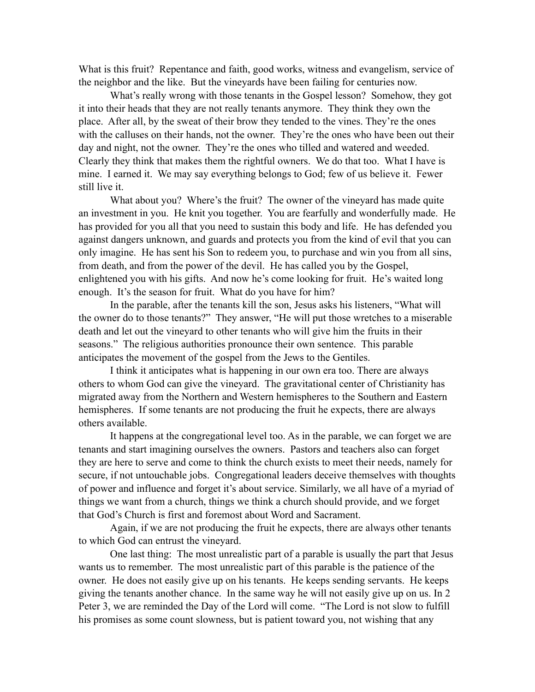What is this fruit? Repentance and faith, good works, witness and evangelism, service of the neighbor and the like. But the vineyards have been failing for centuries now.

What's really wrong with those tenants in the Gospel lesson? Somehow, they got it into their heads that they are not really tenants anymore. They think they own the place. After all, by the sweat of their brow they tended to the vines. They're the ones with the calluses on their hands, not the owner. They're the ones who have been out their day and night, not the owner. They're the ones who tilled and watered and weeded. Clearly they think that makes them the rightful owners. We do that too. What I have is mine. I earned it. We may say everything belongs to God; few of us believe it. Fewer still live it.

What about you? Where's the fruit? The owner of the vineyard has made quite an investment in you. He knit you together. You are fearfully and wonderfully made. He has provided for you all that you need to sustain this body and life. He has defended you against dangers unknown, and guards and protects you from the kind of evil that you can only imagine. He has sent his Son to redeem you, to purchase and win you from all sins, from death, and from the power of the devil. He has called you by the Gospel, enlightened you with his gifts. And now he's come looking for fruit. He's waited long enough. It's the season for fruit. What do you have for him?

In the parable, after the tenants kill the son, Jesus asks his listeners, "What will the owner do to those tenants?" They answer, "He will put those wretches to a miserable death and let out the vineyard to other tenants who will give him the fruits in their seasons." The religious authorities pronounce their own sentence. This parable anticipates the movement of the gospel from the Jews to the Gentiles.

I think it anticipates what is happening in our own era too. There are always others to whom God can give the vineyard. The gravitational center of Christianity has migrated away from the Northern and Western hemispheres to the Southern and Eastern hemispheres. If some tenants are not producing the fruit he expects, there are always others available.

It happens at the congregational level too. As in the parable, we can forget we are tenants and start imagining ourselves the owners. Pastors and teachers also can forget they are here to serve and come to think the church exists to meet their needs, namely for secure, if not untouchable jobs. Congregational leaders deceive themselves with thoughts of power and influence and forget it's about service. Similarly, we all have of a myriad of things we want from a church, things we think a church should provide, and we forget that God's Church is first and foremost about Word and Sacrament.

Again, if we are not producing the fruit he expects, there are always other tenants to which God can entrust the vineyard.

One last thing: The most unrealistic part of a parable is usually the part that Jesus wants us to remember. The most unrealistic part of this parable is the patience of the owner. He does not easily give up on his tenants. He keeps sending servants. He keeps giving the tenants another chance. In the same way he will not easily give up on us. In 2 Peter 3, we are reminded the Day of the Lord will come. "The Lord is not slow to fulfill his promises as some count slowness, but is patient toward you, not wishing that any